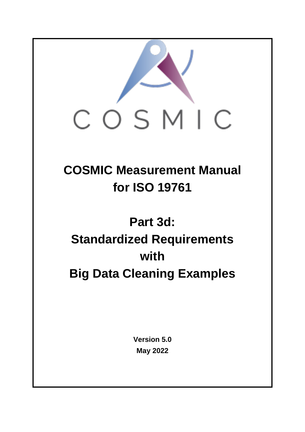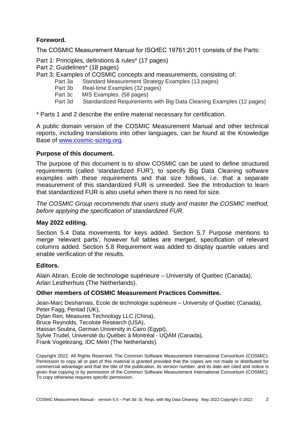### **Foreword.**

The COSMIC Measurement Manual for ISO⁄IEC 19761:2011 consists of the Parts:

Part 1: Principles, definitions & rules\* (17 pages)

- Part 2: Guidelines\* (18 pages)
- Part 3: Examples of COSMIC concepts and measurements, consisting of:
	- Part 3a Standard Measurement Strategy Examples (13 pages)
		- Part 3b Real-time Examples (32 pages)
		- Part 3c MIS Examples. (58 pages)
	- Part 3d Standardized Requirements with Big Data Cleaning Examples (12 pages)

\* Parts 1 and 2 describe the entire material necessary for certification.

A public domain version of the COSMIC Measurement Manual and other technical reports, including translations into other languages, can be found at the Knowledge Base of [www.cosmic-sizing.org.](http://www.cosmic-sizing.org/)

#### **Purpose of this document.**

The purpose of this document is to show COSMIC can be used to define structured requirements (called 'standardized FUR'), to specify Big Data Cleaning software examples with these requirements and that size follows, i.e. that a separate measurement of this standardized FUR is unneeded. See the Introduction to learn that standardized FUR is also useful when there is no need for size.

*The COSMIC Group recommends that users study and master the COSMIC method, before applying the specification of standardized FUR.*

#### **May 2022 editing.**

Section 5.4 Data movements for keys added. Section 5.7 Purpose mentions to merge 'relevant parts', however full tables are merged, specification of relevant columns added. Section 5.8 Requirement was added to display quartile values and enable verification of the results.

#### **Editors.**

Alain Abran, Ecole de technologie supérieure – University of Quebec (Canada), Arlan Lestherhuis (The Netherlands).

#### **Other members of COSMIC Measurement Practices Committee.**

Jean-Marc Desharnais, Ecole de technologie supérieure – University of Quebec (Canada), Peter Fagg, Pentad (UK), Dylan Ren, Measures Technology LLC (China), Bruce Reynolds, Tecolote Research (USA), Hassan Soubra, German University in Cairo (Egypt), Sylvie Trudel, Université du Québec à Montréal - UQAM (Canada), Frank Vogelezang, IDC Metri (The Netherlands).

Copyright 2022. All Rights Reserved. The Common Software Measurement International Consortium (COSMIC). Permission to copy all or part of this material is granted provided that the copies are not made or distributed for commercial advantage and that the title of the publication, its version number, and its date are cited and notice is given that copying is by permission of the Common Software Measurement International Consortium (COSMIC). To copy otherwise requires specific permission.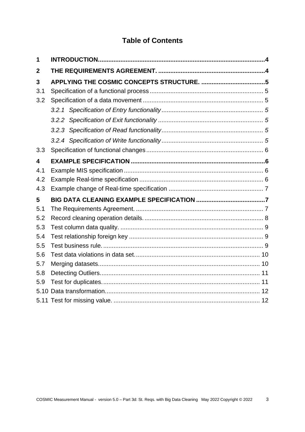# **Table of Contents**

| 1                       |  |
|-------------------------|--|
| $\boldsymbol{2}$        |  |
| 3                       |  |
| 3.1                     |  |
| 3.2                     |  |
|                         |  |
|                         |  |
|                         |  |
|                         |  |
| 3.3                     |  |
| $\overline{\mathbf{4}}$ |  |
| 4.1                     |  |
| 4.2                     |  |
| 4.3                     |  |
| 5                       |  |
| 5.1                     |  |
| 5.2                     |  |
| 5.3                     |  |
| 5.4                     |  |
| 5.5                     |  |
| 5.6                     |  |
| 5.7                     |  |
| 5.8                     |  |
| 5.9                     |  |
|                         |  |
|                         |  |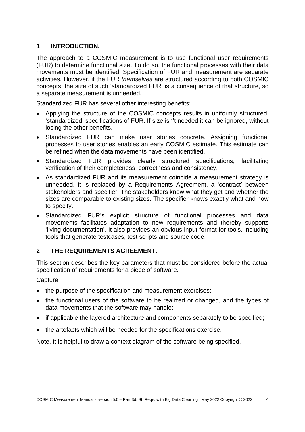#### <span id="page-3-0"></span>**1 INTRODUCTION.**

The approach to a COSMIC measurement is to use functional user requirements (FUR) to determine functional size. To do so, the functional processes with their data movements must be identified. Specification of FUR and measurement are separate activities. However, if the FUR *themselves* are structured according to both COSMIC concepts, the size of such 'standardized FUR' is a consequence of that structure, so a separate measurement is unneeded.

Standardized FUR has several other interesting benefits:

- Applying the structure of the COSMIC concepts results in uniformly structured, 'standardized' specifications of FUR. If size isn't needed it can be ignored, without losing the other benefits.
- Standardized FUR can make user stories concrete. Assigning functional processes to user stories enables an early COSMIC estimate. This estimate can be refined when the data movements have been identified.
- Standardized FUR provides clearly structured specifications, facilitating verification of their completeness, correctness and consistency.
- As standardized FUR and its measurement coincide a measurement strategy is unneeded. It is replaced by a Requirements Agreement, a 'contract' between stakeholders and specifier. The stakeholders know what they get and whether the sizes are comparable to existing sizes. The specifier knows exactly what and how to specify.
- Standardized FUR's explicit structure of functional processes and data movements facilitates adaptation to new requirements and thereby supports 'living documentation'. It also provides an obvious input format for tools, including tools that generate testcases, test scripts and source code.

#### <span id="page-3-1"></span>**2 THE REQUIREMENTS AGREEMENT.**

This section describes the key parameters that must be considered before the actual specification of requirements for a piece of software.

**Capture** 

- the purpose of the specification and measurement exercises;
- the functional users of the software to be realized or changed, and the types of data movements that the software may handle;
- if applicable the layered architecture and components separately to be specified;
- the artefacts which will be needed for the specifications exercise.

Note. It is helpful to draw a context diagram of the software being specified.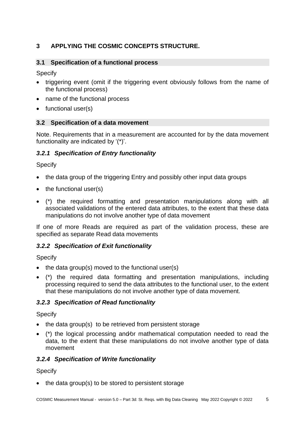## <span id="page-4-0"></span>**3 APPLYING THE COSMIC CONCEPTS STRUCTURE.**

### <span id="page-4-1"></span>**3.1 Specification of a functional process**

Specify

- triggering event (omit if the triggering event obviously follows from the name of the functional process)
- name of the functional process
- functional user(s)

### <span id="page-4-2"></span>**3.2 Specification of a data movement**

Note. Requirements that in a measurement are accounted for by the data movement functionality are indicated by '(\*)'.

### <span id="page-4-3"></span>*3.2.1 Specification of Entry functionality*

Specify

- the data group of the triggering Entry and possibly other input data groups
- the functional user(s)
- (\*) the required formatting and presentation manipulations along with all associated validations of the entered data attributes, to the extent that these data manipulations do not involve another type of data movement

If one of more Reads are required as part of the validation process, these are specified as separate Read data movements

## <span id="page-4-4"></span>*3.2.2 Specification of Exit functionality*

Specify

- the data group(s) moved to the functional user(s)
- (\*) the required data formatting and presentation manipulations, including processing required to send the data attributes to the functional user, to the extent that these manipulations do not involve another type of data movement.

## <span id="page-4-5"></span>*3.2.3 Specification of Read functionality*

**Specify** 

- the data group(s) to be retrieved from persistent storage
- (\*) the logical processing and⁄or mathematical computation needed to read the data, to the extent that these manipulations do not involve another type of data movement

### <span id="page-4-6"></span>*3.2.4 Specification of Write functionality*

Specify

• the data group(s) to be stored to persistent storage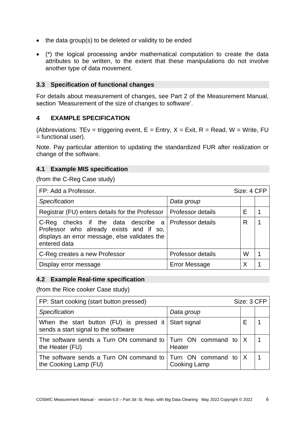- the data group(s) to be deleted or validity to be ended
- (\*) the logical processing and⁄or mathematical computation to create the data attributes to be written, to the extent that these manipulations do not involve another type of data movement.

#### <span id="page-5-0"></span>**3.3 Specification of functional changes**

For details about measurement of changes, see Part 2 of the Measurement Manual, section 'Measurement of the size of changes to software'.

#### <span id="page-5-1"></span>**4 EXAMPLE SPECIFICATION**

(Abbreviations: TEv = triggering event,  $E =$  Entry,  $X =$  Exit,  $R =$  Read, W = Write, FU = functional user).

Note. Pay particular attention to updating the standardized FUR after realization or change of the software.

#### <span id="page-5-2"></span>**4.1 Example MIS specification**

(from the C-Reg Case study)

| FP: Add a Professor.                                                                                                                                              |                          | Size: 4 CFP |  |
|-------------------------------------------------------------------------------------------------------------------------------------------------------------------|--------------------------|-------------|--|
| Specification                                                                                                                                                     | Data group               |             |  |
| Registrar (FU) enters details for the Professor                                                                                                                   | <b>Professor details</b> | F           |  |
| C-Reg checks if the data describe a Professor details<br>Professor who already exists and if so,<br>displays an error message, else validates the<br>entered data |                          | R           |  |
| C-Reg creates a new Professor                                                                                                                                     | Professor details        | W           |  |
| Display error message                                                                                                                                             | <b>Error Message</b>     | Χ           |  |

#### <span id="page-5-3"></span>**4.2 Example Real-time specification**

(from the Rice cooker Case study)

| FP: Start cooking (start button pressed)                                                              |              | Size: 3 CFP |  |
|-------------------------------------------------------------------------------------------------------|--------------|-------------|--|
| Specification                                                                                         | Data group   |             |  |
| When the start button $(FU)$ is pressed it<br>sends a start signal to the software                    | Start signal |             |  |
| The software sends a Turn ON command to $\vert$ Turn ON command to $\vert$ X<br>the Heater (FU)       | Heater       |             |  |
| The software sends a Turn ON command to $\vert$ Turn ON command to $\vert$ X<br>the Cooking Lamp (FU) | Cooking Lamp |             |  |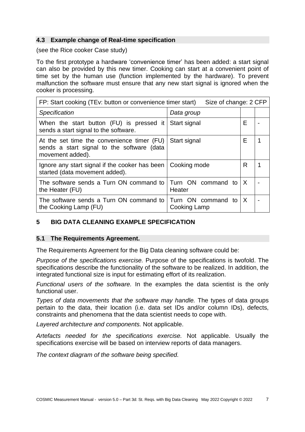#### <span id="page-6-0"></span>**4.3 Example change of Real-time specification**

(see the Rice cooker Case study)

To the first prototype a hardware 'convenience timer' has been added: a start signal can also be provided by this new timer. Cooking can start at a convenient point of time set by the human use (function implemented by the hardware). To prevent malfunction the software must ensure that any new start signal is ignored when the cooker is processing.

| FP: Start cooking (TEv: button or convenience timer start)<br>Size of change: 2 CFP                          |                                    |   |  |
|--------------------------------------------------------------------------------------------------------------|------------------------------------|---|--|
| <b>Specification</b>                                                                                         | Data group                         |   |  |
| When the start button (FU) is pressed it<br>sends a start signal to the software.                            | Start signal                       | Е |  |
| At the set time the convenience timer (FU)<br>sends a start signal to the software (data<br>movement added). | Start signal                       | F |  |
| Ignore any start signal if the cooker has been<br>started (data movement added).                             | Cooking mode                       | R |  |
| The software sends a Turn ON command to<br>the Heater (FU)                                                   | Turn ON command to<br>Heater       | X |  |
| The software sends a Turn ON command to<br>the Cooking Lamp (FU)                                             | Turn ON command to<br>Cooking Lamp | X |  |

### <span id="page-6-1"></span>**5 BIG DATA CLEANING EXAMPLE SPECIFICATION**

#### <span id="page-6-2"></span>**5.1 The Requirements Agreement.**

The Requirements Agreement for the Big Data cleaning software could be:

*Purpose of the specifications exercise.* Purpose of the specifications is twofold. The specifications describe the functionality of the software to be realized. In addition, the integrated functional size is input for estimating effort of its realization.

*Functional users of the software.* In the examples the data scientist is the only functional user.

*Types of data movements that the software may handle.* The types of data groups pertain to the data, their location (i.e. data set IDs and/or column IDs), defects, constraints and phenomena that the data scientist needs to cope with.

*Layered architecture and components.* Not applicable.

*Artefacts needed for the specifications exercise.* Not applicable. Usually the specifications exercise will be based on interview reports of data managers.

*The context diagram of the software being specified.*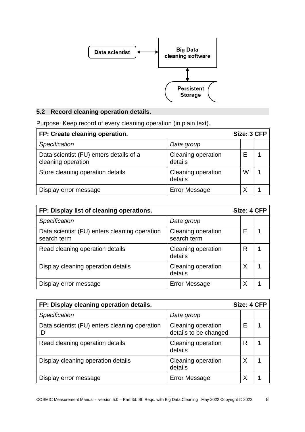

# <span id="page-7-0"></span>**5.2 Record cleaning operation details.**

Purpose: Keep record of every cleaning operation (in plain text).

| FP: Create cleaning operation.                                |                               | Size: 3 CFP |  |
|---------------------------------------------------------------|-------------------------------|-------------|--|
| Specification                                                 | Data group                    |             |  |
| Data scientist (FU) enters details of a<br>cleaning operation | Cleaning operation<br>details |             |  |
| Store cleaning operation details                              | Cleaning operation<br>details | W           |  |
| Display error message                                         | <b>Error Message</b>          |             |  |

| FP: Display list of cleaning operations.                     |                                   | Size: 4 CFP |  |
|--------------------------------------------------------------|-----------------------------------|-------------|--|
| <b>Specification</b>                                         | Data group                        |             |  |
| Data scientist (FU) enters cleaning operation<br>search term | Cleaning operation<br>search term |             |  |
| Read cleaning operation details                              | Cleaning operation<br>details     | R           |  |
| Display cleaning operation details                           | Cleaning operation<br>details     |             |  |
| Display error message                                        | <b>Error Message</b>              |             |  |

| FP: Display cleaning operation details.             |                                             |   | Size: 4 CFP |
|-----------------------------------------------------|---------------------------------------------|---|-------------|
| <b>Specification</b>                                | Data group                                  |   |             |
| Data scientist (FU) enters cleaning operation<br>ID | Cleaning operation<br>details to be changed |   |             |
| Read cleaning operation details                     | Cleaning operation<br>details               | R |             |
| Display cleaning operation details                  | Cleaning operation<br>details               |   |             |
| Display error message                               | <b>Error Message</b>                        |   |             |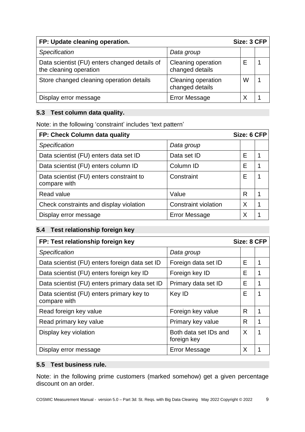| FP: Update cleaning operation.                                          |                                              | Size: 3 CFP |  |
|-------------------------------------------------------------------------|----------------------------------------------|-------------|--|
| Specification                                                           | Data group                                   |             |  |
| Data scientist (FU) enters changed details of<br>the cleaning operation | <b>Cleaning operation</b><br>changed details |             |  |
| Store changed cleaning operation details                                | Cleaning operation<br>changed details        | W           |  |
| Display error message                                                   | <b>Error Message</b>                         |             |  |

### <span id="page-8-0"></span>**5.3 Test column data quality.**

Note: in the following 'constraint' includes 'text pattern'

| FP: Check Column data quality                            |                             | Size: 6 CFP |  |
|----------------------------------------------------------|-----------------------------|-------------|--|
| Specification                                            | Data group                  |             |  |
| Data scientist (FU) enters data set ID                   | Data set ID                 | Е           |  |
| Data scientist (FU) enters column ID                     | Column ID                   | F           |  |
| Data scientist (FU) enters constraint to<br>compare with | Constraint                  | E           |  |
| Read value                                               | Value                       | R           |  |
| Check constraints and display violation                  | <b>Constraint violation</b> | X           |  |
| Display error message                                    | <b>Error Message</b>        | Χ           |  |

### <span id="page-8-1"></span>**5.4 Test relationship foreign key**

| FP: Test relationship foreign key                         |                                      | Size: 8 CFP |   |
|-----------------------------------------------------------|--------------------------------------|-------------|---|
| Specification                                             | Data group                           |             |   |
| Data scientist (FU) enters foreign data set ID            | Foreign data set ID                  | Е           |   |
| Data scientist (FU) enters foreign key ID                 | Foreign key ID                       | Е           |   |
| Data scientist (FU) enters primary data set ID            | Primary data set ID                  | Е           |   |
| Data scientist (FU) enters primary key to<br>compare with | Key ID                               | Е           |   |
| Read foreign key value                                    | Foreign key value                    | R           |   |
| Read primary key value                                    | Primary key value                    | R           |   |
| Display key violation                                     | Both data set IDs and<br>foreign key | X           | 1 |
| Display error message                                     | <b>Error Message</b>                 | Χ           |   |

#### <span id="page-8-2"></span>**5.5 Test business rule.**

Note: in the following prime customers (marked somehow) get a given percentage discount on an order.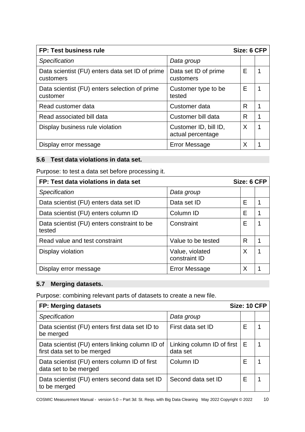| FP: Test business rule                                       |                                            | Size: 6 CFP |  |
|--------------------------------------------------------------|--------------------------------------------|-------------|--|
| Specification                                                | Data group                                 |             |  |
| Data scientist (FU) enters data set ID of prime<br>customers | Data set ID of prime<br>customers          | Е           |  |
| Data scientist (FU) enters selection of prime<br>customer    | Customer type to be<br>tested              | Е           |  |
| Read customer data                                           | Customer data                              | R           |  |
| Read associated bill data                                    | Customer bill data                         | R           |  |
| Display business rule violation                              | Customer ID, bill ID,<br>actual percentage | X           |  |
| Display error message                                        | <b>Error Message</b>                       | Χ           |  |

### <span id="page-9-0"></span>**5.6 Test data violations in data set.**

Purpose: to test a data set before processing it.

| FP: Test data violations in data set                  |                                  | Size: 6 CFP |  |
|-------------------------------------------------------|----------------------------------|-------------|--|
| <b>Specification</b>                                  | Data group                       |             |  |
| Data scientist (FU) enters data set ID                | Data set ID                      | F           |  |
| Data scientist (FU) enters column ID                  | Column ID                        | F           |  |
| Data scientist (FU) enters constraint to be<br>tested | Constraint                       | Е           |  |
| Read value and test constraint                        | Value to be tested               | R           |  |
| Display violation                                     | Value, violated<br>constraint ID | X           |  |
| Display error message                                 | <b>Error Message</b>             | X           |  |

### <span id="page-9-1"></span>**5.7 Merging datasets.**

Purpose: combining relevant parts of datasets to create a new file.

| FP: Merging datasets<br>Size: 10 CFP                                           |                                        |   |  |
|--------------------------------------------------------------------------------|----------------------------------------|---|--|
| <b>Specification</b>                                                           | Data group                             |   |  |
| Data scientist (FU) enters first data set ID to<br>be merged                   | First data set ID                      | Е |  |
| Data scientist (FU) enters linking column ID of<br>first data set to be merged | Linking column ID of first<br>data set | Е |  |
| Data scientist (FU) enters column ID of first<br>data set to be merged         | Column ID                              | E |  |
| Data scientist (FU) enters second data set ID<br>to be merged                  | Second data set ID                     | E |  |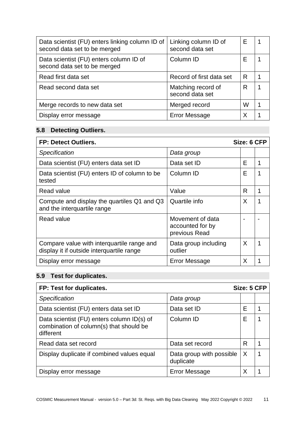| Data scientist (FU) enters linking column ID of<br>second data set to be merged | Linking column ID of<br>second data set | F |  |
|---------------------------------------------------------------------------------|-----------------------------------------|---|--|
| Data scientist (FU) enters column ID of<br>second data set to be merged         | Column ID                               | F |  |
| Read first data set                                                             | Record of first data set                | R |  |
| Read second data set                                                            | Matching record of<br>second data set   | R |  |
| Merge records to new data set                                                   | Merged record                           | W |  |
| Display error message                                                           | <b>Error Message</b>                    |   |  |

# <span id="page-10-0"></span>**5.8 Detecting Outliers.**

| <b>FP: Detect Outliers.</b>                                                             |                                                       | Size: 6 CFP |   |
|-----------------------------------------------------------------------------------------|-------------------------------------------------------|-------------|---|
| <b>Specification</b>                                                                    | Data group                                            |             |   |
| Data scientist (FU) enters data set ID                                                  | Data set ID                                           | Е           |   |
| Data scientist (FU) enters ID of column to be<br>tested                                 | Column ID                                             | Е           |   |
| Read value                                                                              | Value                                                 | R           |   |
| Compute and display the quartiles Q1 and Q3<br>and the interquartile range              | Quartile info                                         | X           |   |
| Read value                                                                              | Movement of data<br>accounted for by<br>previous Read |             |   |
| Compare value with interquartile range and<br>display it if outside interquartile range | Data group including<br>outlier                       | $\sf X$     | 1 |
| Display error message                                                                   | <b>Error Message</b>                                  | X           |   |

# <span id="page-10-1"></span>**5.9 Test for duplicates.**

| FP: Test for duplicates.                                                                           |                                       | Size: 5 CFP |  |
|----------------------------------------------------------------------------------------------------|---------------------------------------|-------------|--|
| Specification                                                                                      | Data group                            |             |  |
| Data scientist (FU) enters data set ID                                                             | Data set ID                           | Е           |  |
| Data scientist (FU) enters column ID(s) of<br>combination of column(s) that should be<br>different | Column ID                             | Е           |  |
| Read data set record                                                                               | Data set record                       | R           |  |
| Display duplicate if combined values equal                                                         | Data group with possible<br>duplicate | $\times$    |  |
| Display error message                                                                              | <b>Error Message</b>                  |             |  |